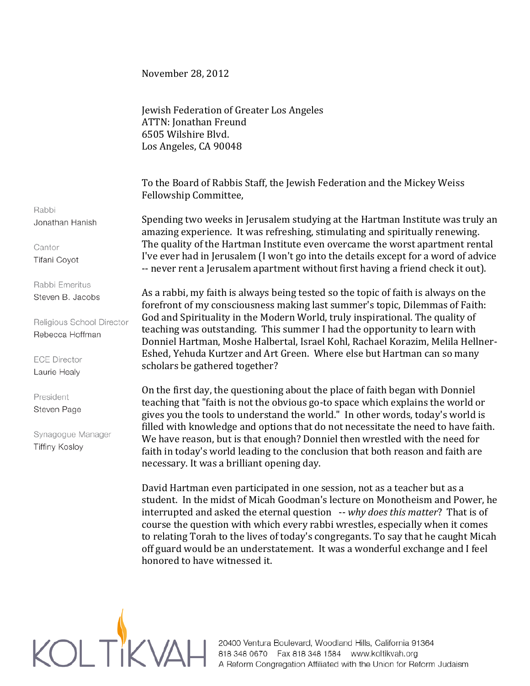## November 28, 2012

Jewish Federation of Greater Los Angeles ATTN: Jonathan Freund 6505 Wilshire Blvd. Los Angeles, CA 90048

To the Board of Rabbis Staff, the Jewish Federation and the Mickey Weiss Fellowship Committee,

Spending two weeks in Jerusalem studying at the Hartman Institute was truly an amazing experience. It was refreshing, stimulating and spiritually renewing. The quality of the Hartman Institute even overcame the worst apartment rental I've ever had in Jerusalem (I won't go into the details except for a word of advice -- never rent a Jerusalem apartment without first having a friend check it out).

As a rabbi, my faith is always being tested so the topic of faith is always on the forefront of my consciousness making last summer's topic, Dilemmas of Faith: God and Spirituality in the Modern World, truly inspirational. The quality of teaching was outstanding. This summer I had the opportunity to learn with Donniel Hartman, Moshe Halbertal, Israel Kohl, Rachael Korazim, Melila Hellner-Eshed, Yehuda Kurtzer and Art Green. Where else but Hartman can so many scholars be gathered together?

On the first day, the questioning about the place of faith began with Donniel teaching that "faith is not the obvious go-to space which explains the world or gives you the tools to understand the world." In other words, today's world is filled with knowledge and options that do not necessitate the need to have faith. We have reason, but is that enough? Donniel then wrestled with the need for faith in today's world leading to the conclusion that both reason and faith are necessary. It was a brilliant opening day.

David Hartman even participated in one session, not as a teacher but as a student. In the midst of Micah Goodman's lecture on Monotheism and Power, he interrupted and asked the eternal question -- *why does this matter*? That is of course the question with which every rabbi wrestles, especially when it comes to relating Torah to the lives of today's congregants. To say that he caught Micah off guard would be an understatement. It was a wonderful exchange and I feel honored to have witnessed it.



Rabbi Jonathan Hanish

Cantor Tifani Coyot

Rabbi Emeritus Steven B. Jacobs

Religious School Director Rebecca Hoffman

**ECE Director** Laurie Healy

President Steven Page

Synagogue Manager **Tiffiny Kosloy**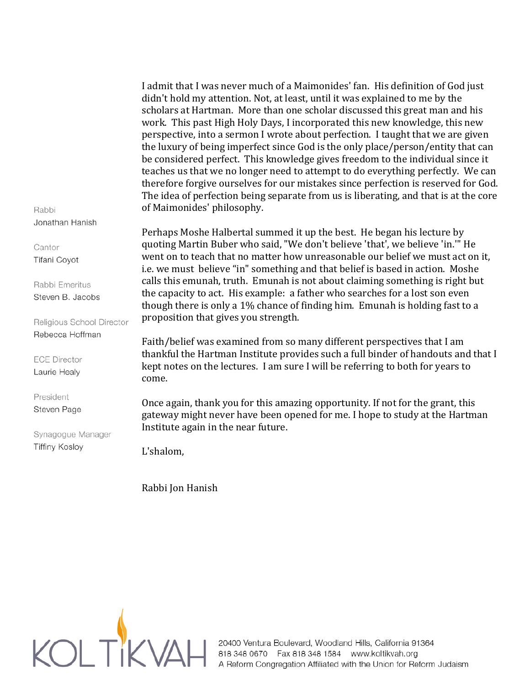I admit that I was never much of a Maimonides' fan. His definition of God just didn't hold my attention. Not, at least, until it was explained to me by the scholars at Hartman. More than one scholar discussed this great man and his work. This past High Holy Days, I incorporated this new knowledge, this new perspective, into a sermon I wrote about perfection. I taught that we are given the luxury of being imperfect since God is the only place/person/entity that can be considered perfect. This knowledge gives freedom to the individual since it teaches us that we no longer need to attempt to do everything perfectly. We can therefore forgive ourselves for our mistakes since perfection is reserved for God. The idea of perfection being separate from us is liberating, and that is at the core of Maimonides' philosophy.

Perhaps Moshe Halbertal summed it up the best. He began his lecture by quoting Martin Buber who said, "We don't believe 'that', we believe 'in.'" He went on to teach that no matter how unreasonable our belief we must act on it, i.e. we must believe "in" something and that belief is based in action. Moshe calls this emunah, truth. Emunah is not about claiming something is right but the capacity to act. His example: a father who searches for a lost son even though there is only a 1% chance of finding him. Emunah is holding fast to a proposition that gives you strength.

Faith/belief was examined from so many different perspectives that I am thankful the Hartman Institute provides such a full binder of handouts and that I kept notes on the lectures. I am sure I will be referring to both for years to come.

Once again, thank you for this amazing opportunity. If not for the grant, this gateway might never have been opened for me. I hope to study at the Hartman Institute again in the near future.

L'shalom,

Rabbi Jon Hanish



A Reform Congregation Affiliated with the Union for Reform Judaism

Rabbi Jonathan Hanish

Cantor Tifani Coyot

Rabbi Emeritus Steven B. Jacobs

Religious School Director Rebecca Hoffman

**ECE Director** Laurie Healy

President Steven Page

Synagogue Manager **Tiffiny Kosloy**